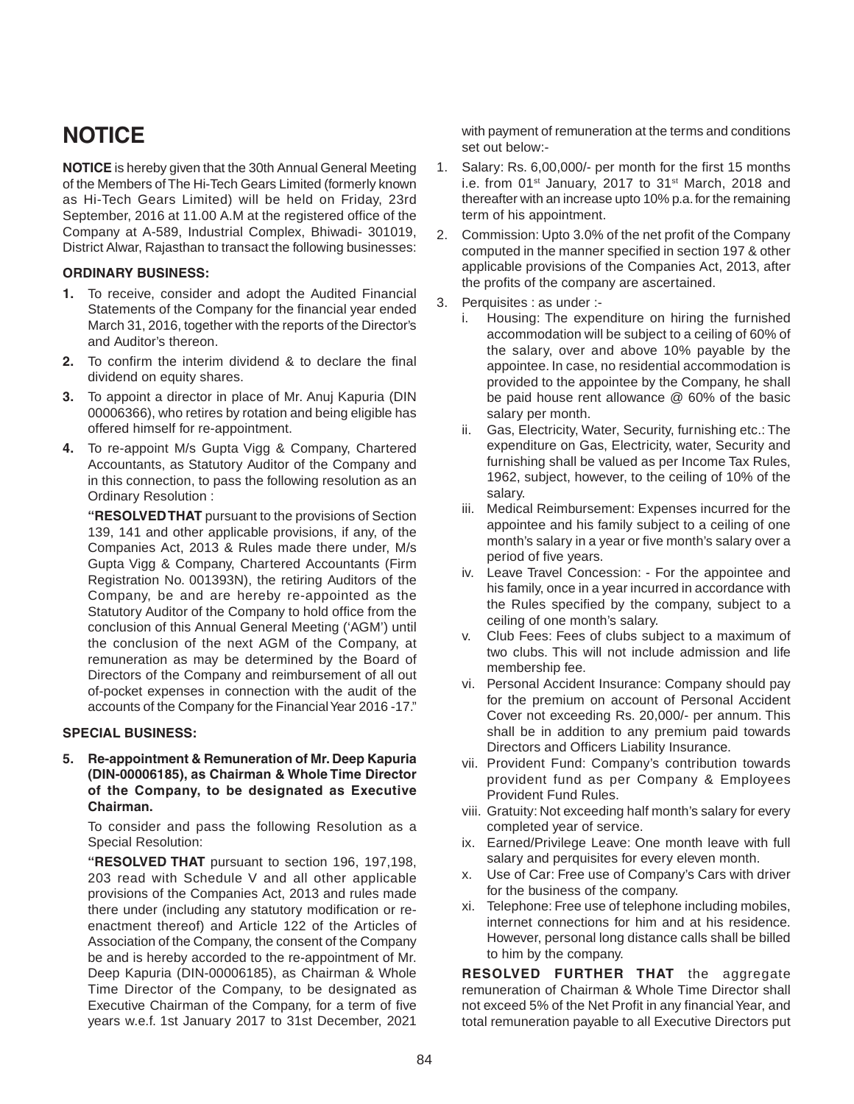# **NOTICE**

**NOTICE** is hereby given that the 30th Annual General Meeting of the Members of The Hi-Tech Gears Limited (formerly known as Hi-Tech Gears Limited) will be held on Friday, 23rd September, 2016 at 11.00 A.M at the registered office of the Company at A-589, Industrial Complex, Bhiwadi- 301019, District Alwar, Rajasthan to transact the following businesses:

#### **ORDINARY BUSINESS:**

- **1.** To receive, consider and adopt the Audited Financial Statements of the Company for the financial year ended March 31, 2016, together with the reports of the Director's and Auditor's thereon.
- **2.** To confirm the interim dividend & to declare the final dividend on equity shares.
- **3.** To appoint a director in place of Mr. Anuj Kapuria (DIN 00006366), who retires by rotation and being eligible has offered himself for re-appointment.
- **4.** To re-appoint M/s Gupta Vigg & Company, Chartered Accountants, as Statutory Auditor of the Company and in this connection, to pass the following resolution as an Ordinary Resolution :

**"RESOLVED THAT** pursuant to the provisions of Section 139, 141 and other applicable provisions, if any, of the Companies Act, 2013 & Rules made there under, M/s Gupta Vigg & Company, Chartered Accountants (Firm Registration No. 001393N), the retiring Auditors of the Company, be and are hereby re-appointed as the Statutory Auditor of the Company to hold office from the conclusion of this Annual General Meeting ('AGM') until the conclusion of the next AGM of the Company, at remuneration as may be determined by the Board of Directors of the Company and reimbursement of all out of-pocket expenses in connection with the audit of the accounts of the Company for the Financial Year 2016 -17."

#### **SPECIAL BUSINESS:**

**5. Re-appointment & Remuneration of Mr. Deep Kapuria (DIN-00006185), as Chairman & Whole Time Director of the Company, to be designated as Executive Chairman.**

To consider and pass the following Resolution as a Special Resolution:

**"RESOLVED THAT** pursuant to section 196, 197,198, 203 read with Schedule V and all other applicable provisions of the Companies Act, 2013 and rules made there under (including any statutory modification or reenactment thereof) and Article 122 of the Articles of Association of the Company, the consent of the Company be and is hereby accorded to the re-appointment of Mr. Deep Kapuria (DIN-00006185), as Chairman & Whole Time Director of the Company, to be designated as Executive Chairman of the Company, for a term of five years w.e.f. 1st January 2017 to 31st December, 2021 with payment of remuneration at the terms and conditions set out below:-

- 1. Salary: Rs. 6,00,000/- per month for the first 15 months i.e. from 01st January, 2017 to 31st March, 2018 and thereafter with an increase upto 10% p.a. for the remaining term of his appointment.
- 2. Commission: Upto 3.0% of the net profit of the Company computed in the manner specified in section 197 & other applicable provisions of the Companies Act, 2013, after the profits of the company are ascertained.
- 3. Perquisites : as under :
	- i. Housing: The expenditure on hiring the furnished accommodation will be subject to a ceiling of 60% of the salary, over and above 10% payable by the appointee. In case, no residential accommodation is provided to the appointee by the Company, he shall be paid house rent allowance @ 60% of the basic salary per month.
	- ii. Gas, Electricity, Water, Security, furnishing etc.: The expenditure on Gas, Electricity, water, Security and furnishing shall be valued as per Income Tax Rules, 1962, subject, however, to the ceiling of 10% of the salary.
	- iii. Medical Reimbursement: Expenses incurred for the appointee and his family subject to a ceiling of one month's salary in a year or five month's salary over a period of five years.
	- iv. Leave Travel Concession: For the appointee and his family, once in a year incurred in accordance with the Rules specified by the company, subject to a ceiling of one month's salary.
	- v. Club Fees: Fees of clubs subject to a maximum of two clubs. This will not include admission and life membership fee.
	- vi. Personal Accident Insurance: Company should pay for the premium on account of Personal Accident Cover not exceeding Rs. 20,000/- per annum. This shall be in addition to any premium paid towards Directors and Officers Liability Insurance.
	- vii. Provident Fund: Company's contribution towards provident fund as per Company & Employees Provident Fund Rules.
	- viii. Gratuity: Not exceeding half month's salary for every completed year of service.
	- ix. Earned/Privilege Leave: One month leave with full salary and perquisites for every eleven month.
	- x. Use of Car: Free use of Company's Cars with driver for the business of the company.
	- xi. Telephone: Free use of telephone including mobiles, internet connections for him and at his residence. However, personal long distance calls shall be billed to him by the company.

**RESOLVED FURTHER THAT** the aggregate remuneration of Chairman & Whole Time Director shall not exceed 5% of the Net Profit in any financial Year, and total remuneration payable to all Executive Directors put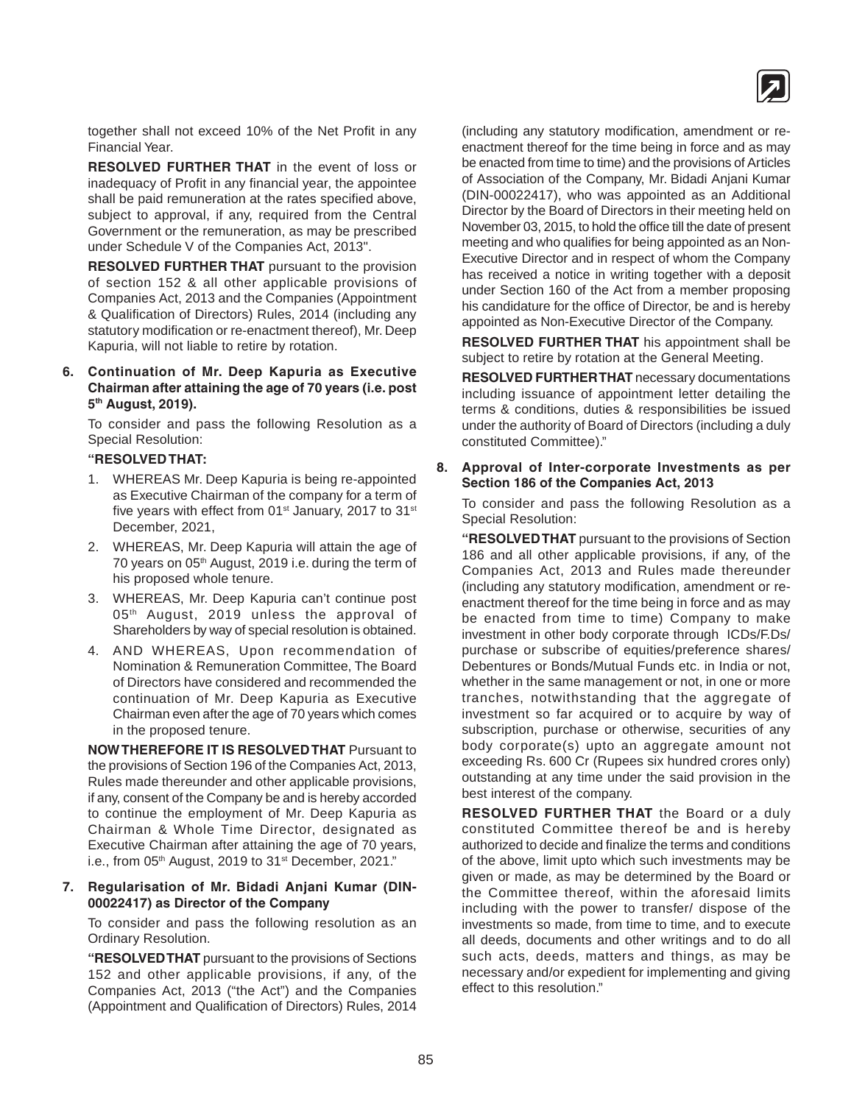

together shall not exceed 10% of the Net Profit in any Financial Year.

**RESOLVED FURTHER THAT** in the event of loss or inadequacy of Profit in any financial year, the appointee shall be paid remuneration at the rates specified above, subject to approval, if any, required from the Central Government or the remuneration, as may be prescribed under Schedule V of the Companies Act, 2013".

**RESOLVED FURTHER THAT** pursuant to the provision of section 152 & all other applicable provisions of Companies Act, 2013 and the Companies (Appointment & Qualification of Directors) Rules, 2014 (including any statutory modification or re-enactment thereof), Mr. Deep Kapuria, will not liable to retire by rotation.

#### **6. Continuation of Mr. Deep Kapuria as Executive Chairman after attaining the age of 70 years (i.e. post 5th August, 2019).**

To consider and pass the following Resolution as a Special Resolution:

#### **"RESOLVED THAT:**

- 1. WHEREAS Mr. Deep Kapuria is being re-appointed as Executive Chairman of the company for a term of five years with effect from  $01<sup>st</sup>$  January, 2017 to  $31<sup>st</sup>$ December, 2021,
- 2. WHEREAS, Mr. Deep Kapuria will attain the age of 70 years on 05<sup>th</sup> August, 2019 i.e. during the term of his proposed whole tenure.
- 3. WHEREAS, Mr. Deep Kapuria can't continue post 05<sup>th</sup> August, 2019 unless the approval of Shareholders by way of special resolution is obtained.
- 4. AND WHEREAS, Upon recommendation of Nomination & Remuneration Committee, The Board of Directors have considered and recommended the continuation of Mr. Deep Kapuria as Executive Chairman even after the age of 70 years which comes in the proposed tenure.

**NOW THEREFORE IT IS RESOLVED THAT** Pursuant to the provisions of Section 196 of the Companies Act, 2013, Rules made thereunder and other applicable provisions, if any, consent of the Company be and is hereby accorded to continue the employment of Mr. Deep Kapuria as Chairman & Whole Time Director, designated as Executive Chairman after attaining the age of 70 years, i.e., from 05<sup>th</sup> August, 2019 to 31<sup>st</sup> December, 2021."

#### **7. Regularisation of Mr. Bidadi Anjani Kumar (DIN-00022417) as Director of the Company**

To consider and pass the following resolution as an Ordinary Resolution.

**"RESOLVED THAT** pursuant to the provisions of Sections 152 and other applicable provisions, if any, of the Companies Act, 2013 ("the Act") and the Companies (Appointment and Qualification of Directors) Rules, 2014 (including any statutory modification, amendment or reenactment thereof for the time being in force and as may be enacted from time to time) and the provisions of Articles of Association of the Company, Mr. Bidadi Anjani Kumar (DIN-00022417), who was appointed as an Additional Director by the Board of Directors in their meeting held on November 03, 2015, to hold the office till the date of present meeting and who qualifies for being appointed as an Non-Executive Director and in respect of whom the Company has received a notice in writing together with a deposit under Section 160 of the Act from a member proposing his candidature for the office of Director, be and is hereby appointed as Non-Executive Director of the Company.

**RESOLVED FURTHER THAT** his appointment shall be subject to retire by rotation at the General Meeting.

**RESOLVED FURTHER THAT** necessary documentations including issuance of appointment letter detailing the terms & conditions, duties & responsibilities be issued under the authority of Board of Directors (including a duly constituted Committee)."

#### **8. Approval of Inter-corporate Investments as per Section 186 of the Companies Act, 2013**

To consider and pass the following Resolution as a Special Resolution:

**"RESOLVED THAT** pursuant to the provisions of Section 186 and all other applicable provisions, if any, of the Companies Act, 2013 and Rules made thereunder (including any statutory modification, amendment or reenactment thereof for the time being in force and as may be enacted from time to time) Company to make investment in other body corporate through ICDs/F.Ds/ purchase or subscribe of equities/preference shares/ Debentures or Bonds/Mutual Funds etc. in India or not, whether in the same management or not, in one or more tranches, notwithstanding that the aggregate of investment so far acquired or to acquire by way of subscription, purchase or otherwise, securities of any body corporate(s) upto an aggregate amount not exceeding Rs. 600 Cr (Rupees six hundred crores only) outstanding at any time under the said provision in the best interest of the company.

**RESOLVED FURTHER THAT** the Board or a duly constituted Committee thereof be and is hereby authorized to decide and finalize the terms and conditions of the above, limit upto which such investments may be given or made, as may be determined by the Board or the Committee thereof, within the aforesaid limits including with the power to transfer/ dispose of the investments so made, from time to time, and to execute all deeds, documents and other writings and to do all such acts, deeds, matters and things, as may be necessary and/or expedient for implementing and giving effect to this resolution."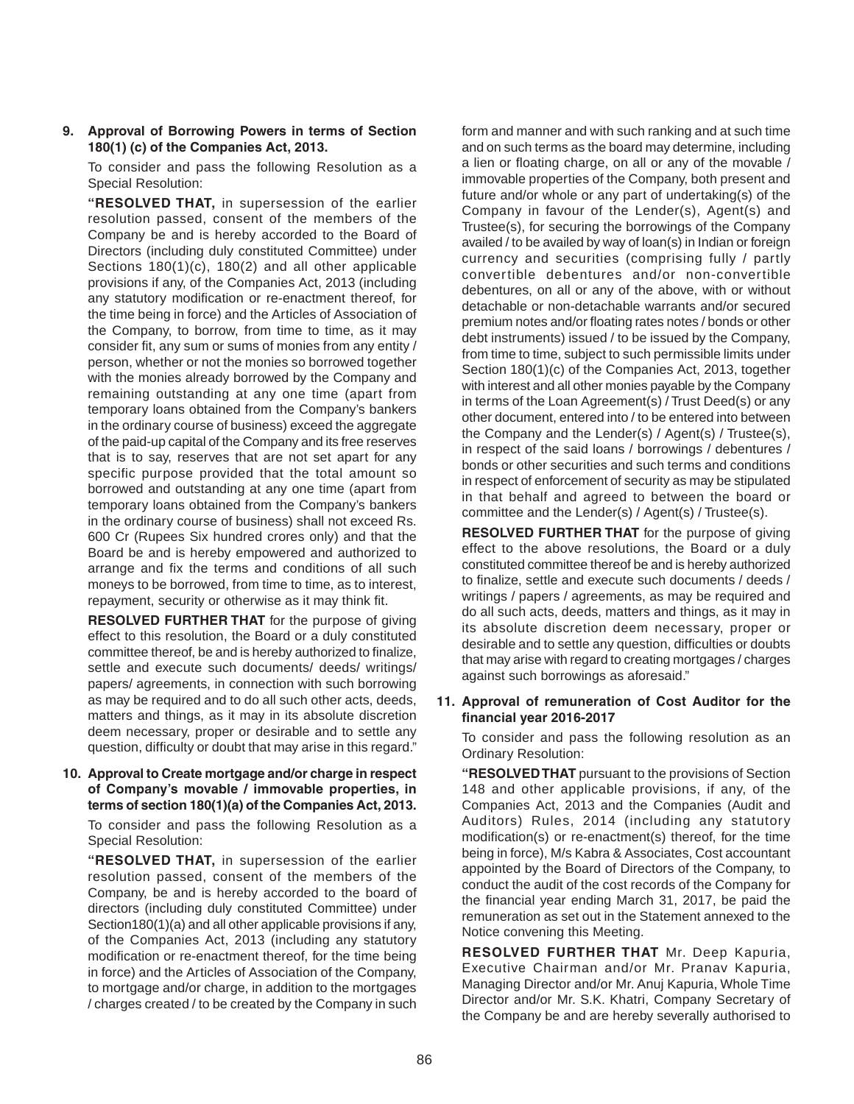#### **9. Approval of Borrowing Powers in terms of Section 180(1) (c) of the Companies Act, 2013.**

To consider and pass the following Resolution as a Special Resolution:

**"RESOLVED THAT,** in supersession of the earlier resolution passed, consent of the members of the Company be and is hereby accorded to the Board of Directors (including duly constituted Committee) under Sections 180(1)(c), 180(2) and all other applicable provisions if any, of the Companies Act, 2013 (including any statutory modification or re-enactment thereof, for the time being in force) and the Articles of Association of the Company, to borrow, from time to time, as it may consider fit, any sum or sums of monies from any entity / person, whether or not the monies so borrowed together with the monies already borrowed by the Company and remaining outstanding at any one time (apart from temporary loans obtained from the Company's bankers in the ordinary course of business) exceed the aggregate of the paid-up capital of the Company and its free reserves that is to say, reserves that are not set apart for any specific purpose provided that the total amount so borrowed and outstanding at any one time (apart from temporary loans obtained from the Company's bankers in the ordinary course of business) shall not exceed Rs. 600 Cr (Rupees Six hundred crores only) and that the Board be and is hereby empowered and authorized to arrange and fix the terms and conditions of all such moneys to be borrowed, from time to time, as to interest, repayment, security or otherwise as it may think fit.

**RESOLVED FURTHER THAT** for the purpose of giving effect to this resolution, the Board or a duly constituted committee thereof, be and is hereby authorized to finalize, settle and execute such documents/ deeds/ writings/ papers/ agreements, in connection with such borrowing as may be required and to do all such other acts, deeds, matters and things, as it may in its absolute discretion deem necessary, proper or desirable and to settle any question, difficulty or doubt that may arise in this regard."

#### **10. Approval to Create mortgage and/or charge in respect of Company's movable / immovable properties, in terms of section 180(1)(a) of the Companies Act, 2013.**

To consider and pass the following Resolution as a Special Resolution:

**"RESOLVED THAT,** in supersession of the earlier resolution passed, consent of the members of the Company, be and is hereby accorded to the board of directors (including duly constituted Committee) under Section180(1)(a) and all other applicable provisions if any, of the Companies Act, 2013 (including any statutory modification or re-enactment thereof, for the time being in force) and the Articles of Association of the Company, to mortgage and/or charge, in addition to the mortgages / charges created / to be created by the Company in such form and manner and with such ranking and at such time and on such terms as the board may determine, including a lien or floating charge, on all or any of the movable / immovable properties of the Company, both present and future and/or whole or any part of undertaking(s) of the Company in favour of the Lender(s), Agent(s) and Trustee(s), for securing the borrowings of the Company availed / to be availed by way of loan(s) in Indian or foreign currency and securities (comprising fully / partly convertible debentures and/or non-convertible debentures, on all or any of the above, with or without detachable or non-detachable warrants and/or secured premium notes and/or floating rates notes / bonds or other debt instruments) issued / to be issued by the Company, from time to time, subject to such permissible limits under Section 180(1)(c) of the Companies Act, 2013, together with interest and all other monies payable by the Company in terms of the Loan Agreement(s) / Trust Deed(s) or any other document, entered into / to be entered into between the Company and the Lender(s) / Agent(s) / Trustee(s), in respect of the said loans / borrowings / debentures / bonds or other securities and such terms and conditions in respect of enforcement of security as may be stipulated in that behalf and agreed to between the board or committee and the Lender(s) / Agent(s) / Trustee(s).

**RESOLVED FURTHER THAT** for the purpose of giving effect to the above resolutions, the Board or a duly constituted committee thereof be and is hereby authorized to finalize, settle and execute such documents / deeds / writings / papers / agreements, as may be required and do all such acts, deeds, matters and things, as it may in its absolute discretion deem necessary, proper or desirable and to settle any question, difficulties or doubts that may arise with regard to creating mortgages / charges against such borrowings as aforesaid."

#### **11. Approval of remuneration of Cost Auditor for the financial year 2016-2017**

To consider and pass the following resolution as an Ordinary Resolution:

**"RESOLVED THAT** pursuant to the provisions of Section 148 and other applicable provisions, if any, of the Companies Act, 2013 and the Companies (Audit and Auditors) Rules, 2014 (including any statutory modification(s) or re-enactment(s) thereof, for the time being in force), M/s Kabra & Associates, Cost accountant appointed by the Board of Directors of the Company, to conduct the audit of the cost records of the Company for the financial year ending March 31, 2017, be paid the remuneration as set out in the Statement annexed to the Notice convening this Meeting.

**RESOLVED FURTHER THAT** Mr. Deep Kapuria, Executive Chairman and/or Mr. Pranav Kapuria, Managing Director and/or Mr. Anuj Kapuria, Whole Time Director and/or Mr. S.K. Khatri, Company Secretary of the Company be and are hereby severally authorised to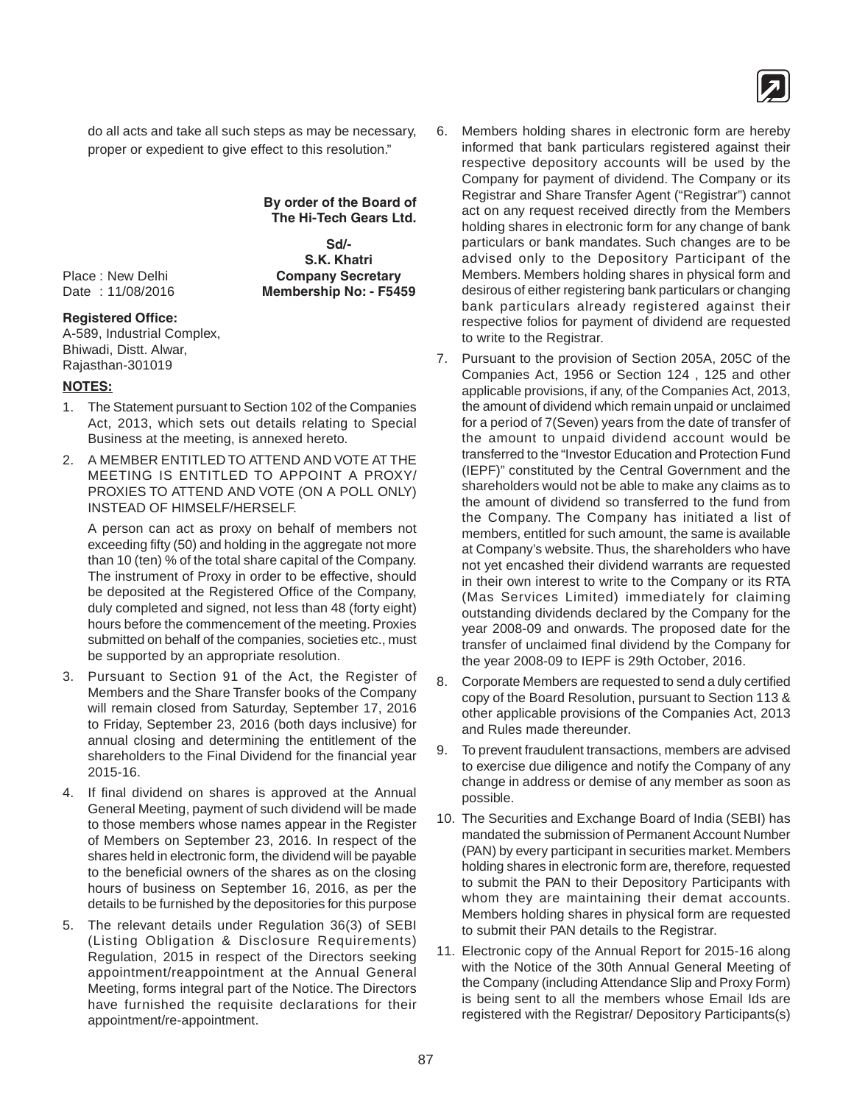

do all acts and take all such steps as may be necessary, proper or expedient to give effect to this resolution."

> **By order of the Board of The Hi-Tech Gears Ltd.**

**Sd/- S.K. Khatri** Place : New Delhi **Company Secretary** Date : 11/08/2016 **Membership No: - F5459**

#### **Registered Office:**

A-589, Industrial Complex, Bhiwadi, Distt. Alwar, Rajasthan-301019

#### **NOTES:**

- 1. The Statement pursuant to Section 102 of the Companies Act, 2013, which sets out details relating to Special Business at the meeting, is annexed hereto.
- 2. A MEMBER ENTITLED TO ATTEND AND VOTE AT THE MEETING IS ENTITLED TO APPOINT A PROXY/ PROXIES TO ATTEND AND VOTE (ON A POLL ONLY) INSTEAD OF HIMSELF/HERSELF.

A person can act as proxy on behalf of members not exceeding fifty (50) and holding in the aggregate not more than 10 (ten) % of the total share capital of the Company. The instrument of Proxy in order to be effective, should be deposited at the Registered Office of the Company, duly completed and signed, not less than 48 (forty eight) hours before the commencement of the meeting. Proxies submitted on behalf of the companies, societies etc., must be supported by an appropriate resolution.

- 3. Pursuant to Section 91 of the Act, the Register of Members and the Share Transfer books of the Company will remain closed from Saturday, September 17, 2016 to Friday, September 23, 2016 (both days inclusive) for annual closing and determining the entitlement of the shareholders to the Final Dividend for the financial year 2015-16.
- 4. If final dividend on shares is approved at the Annual General Meeting, payment of such dividend will be made to those members whose names appear in the Register of Members on September 23, 2016. In respect of the shares held in electronic form, the dividend will be payable to the beneficial owners of the shares as on the closing hours of business on September 16, 2016, as per the details to be furnished by the depositories for this purpose
- 5. The relevant details under Regulation 36(3) of SEBI (Listing Obligation & Disclosure Requirements) Regulation, 2015 in respect of the Directors seeking appointment/reappointment at the Annual General Meeting, forms integral part of the Notice. The Directors have furnished the requisite declarations for their appointment/re-appointment.
- 6. Members holding shares in electronic form are hereby informed that bank particulars registered against their respective depository accounts will be used by the Company for payment of dividend. The Company or its Registrar and Share Transfer Agent ("Registrar") cannot act on any request received directly from the Members holding shares in electronic form for any change of bank particulars or bank mandates. Such changes are to be advised only to the Depository Participant of the Members. Members holding shares in physical form and desirous of either registering bank particulars or changing bank particulars already registered against their respective folios for payment of dividend are requested to write to the Registrar.
- 7. Pursuant to the provision of Section 205A, 205C of the Companies Act, 1956 or Section 124 , 125 and other applicable provisions, if any, of the Companies Act, 2013, the amount of dividend which remain unpaid or unclaimed for a period of 7(Seven) years from the date of transfer of the amount to unpaid dividend account would be transferred to the "Investor Education and Protection Fund (IEPF)" constituted by the Central Government and the shareholders would not be able to make any claims as to the amount of dividend so transferred to the fund from the Company. The Company has initiated a list of members, entitled for such amount, the same is available at Company's website. Thus, the shareholders who have not yet encashed their dividend warrants are requested in their own interest to write to the Company or its RTA (Mas Services Limited) immediately for claiming outstanding dividends declared by the Company for the year 2008-09 and onwards. The proposed date for the transfer of unclaimed final dividend by the Company for the year 2008-09 to IEPF is 29th October, 2016.
- 8. Corporate Members are requested to send a duly certified copy of the Board Resolution, pursuant to Section 113 & other applicable provisions of the Companies Act, 2013 and Rules made thereunder.
- 9. To prevent fraudulent transactions, members are advised to exercise due diligence and notify the Company of any change in address or demise of any member as soon as possible.
- 10. The Securities and Exchange Board of India (SEBI) has mandated the submission of Permanent Account Number (PAN) by every participant in securities market. Members holding shares in electronic form are, therefore, requested to submit the PAN to their Depository Participants with whom they are maintaining their demat accounts. Members holding shares in physical form are requested to submit their PAN details to the Registrar.
- 11. Electronic copy of the Annual Report for 2015-16 along with the Notice of the 30th Annual General Meeting of the Company (including Attendance Slip and Proxy Form) is being sent to all the members whose Email Ids are registered with the Registrar/ Depository Participants(s)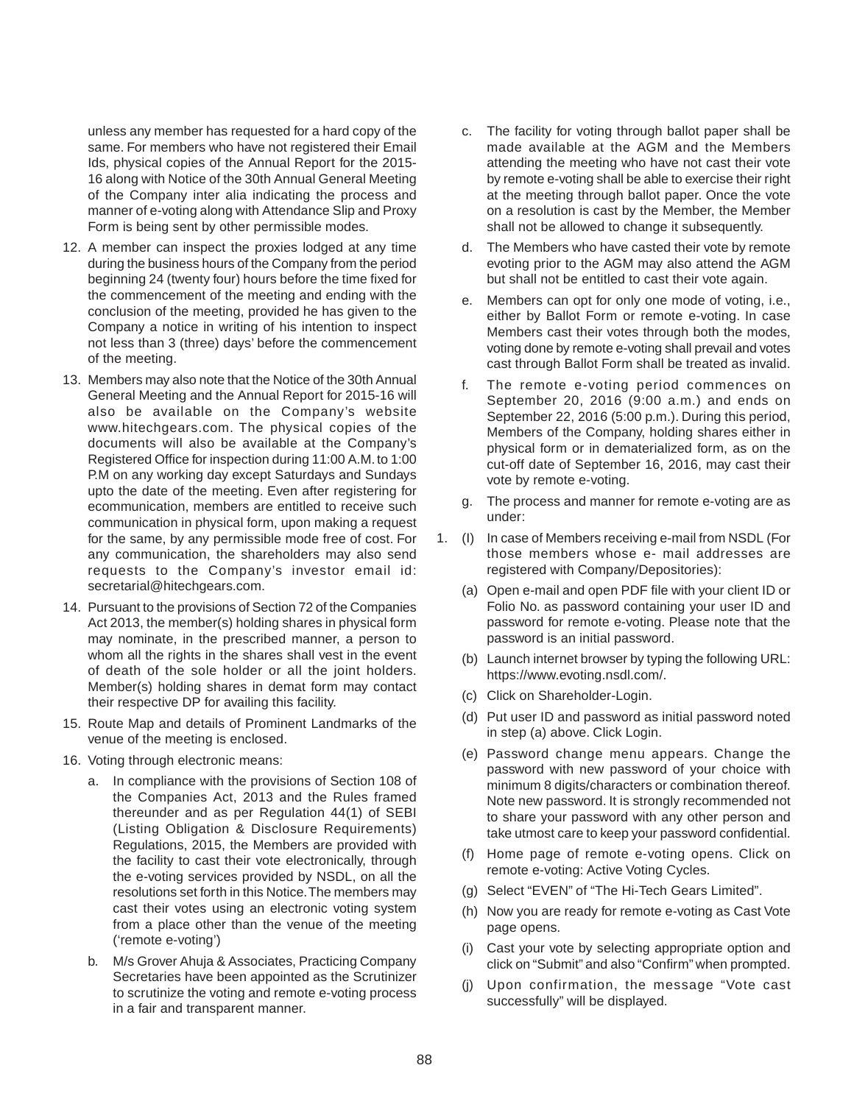unless any member has requested for a hard copy of the same. For members who have not registered their Email Ids, physical copies of the Annual Report for the 2015- 16 along with Notice of the 30th Annual General Meeting of the Company inter alia indicating the process and manner of e-voting along with Attendance Slip and Proxy Form is being sent by other permissible modes.

- 12. A member can inspect the proxies lodged at any time during the business hours of the Company from the period beginning 24 (twenty four) hours before the time fixed for the commencement of the meeting and ending with the conclusion of the meeting, provided he has given to the Company a notice in writing of his intention to inspect not less than 3 (three) days' before the commencement of the meeting.
- 13. Members may also note that the Notice of the 30th Annual General Meeting and the Annual Report for 2015-16 will also be available on the Company's website www.hitechgears.com. The physical copies of the documents will also be available at the Company's Registered Office for inspection during 11:00 A.M. to 1:00 P.M on any working day except Saturdays and Sundays upto the date of the meeting. Even after registering for ecommunication, members are entitled to receive such communication in physical form, upon making a request for the same, by any permissible mode free of cost. For any communication, the shareholders may also send requests to the Company's investor email id: secretarial@hitechgears.com.
- 14. Pursuant to the provisions of Section 72 of the Companies Act 2013, the member(s) holding shares in physical form may nominate, in the prescribed manner, a person to whom all the rights in the shares shall vest in the event of death of the sole holder or all the joint holders. Member(s) holding shares in demat form may contact their respective DP for availing this facility.
- 15. Route Map and details of Prominent Landmarks of the venue of the meeting is enclosed.
- 16. Voting through electronic means:
	- a. In compliance with the provisions of Section 108 of the Companies Act, 2013 and the Rules framed thereunder and as per Regulation 44(1) of SEBI (Listing Obligation & Disclosure Requirements) Regulations, 2015, the Members are provided with the facility to cast their vote electronically, through the e-voting services provided by NSDL, on all the resolutions set forth in this Notice. The members may cast their votes using an electronic voting system from a place other than the venue of the meeting ('remote e-voting')
	- b. M/s Grover Ahuja & Associates, Practicing Company Secretaries have been appointed as the Scrutinizer to scrutinize the voting and remote e-voting process in a fair and transparent manner.
- c. The facility for voting through ballot paper shall be made available at the AGM and the Members attending the meeting who have not cast their vote by remote e-voting shall be able to exercise their right at the meeting through ballot paper. Once the vote on a resolution is cast by the Member, the Member shall not be allowed to change it subsequently.
- d. The Members who have casted their vote by remote evoting prior to the AGM may also attend the AGM but shall not be entitled to cast their vote again.
- e. Members can opt for only one mode of voting, i.e., either by Ballot Form or remote e-voting. In case Members cast their votes through both the modes, voting done by remote e-voting shall prevail and votes cast through Ballot Form shall be treated as invalid.
- f. The remote e-voting period commences on September 20, 2016 (9:00 a.m.) and ends on September 22, 2016 (5:00 p.m.). During this period, Members of the Company, holding shares either in physical form or in dematerialized form, as on the cut-off date of September 16, 2016, may cast their vote by remote e-voting.
- g. The process and manner for remote e-voting are as under:
- 1. (I) In case of Members receiving e-mail from NSDL (For those members whose e- mail addresses are registered with Company/Depositories):
	- (a) Open e-mail and open PDF file with your client ID or Folio No. as password containing your user ID and password for remote e-voting. Please note that the password is an initial password.
	- (b) Launch internet browser by typing the following URL: https://www.evoting.nsdl.com/.
	- (c) Click on Shareholder-Login.
	- (d) Put user ID and password as initial password noted in step (a) above. Click Login.
	- (e) Password change menu appears. Change the password with new password of your choice with minimum 8 digits/characters or combination thereof. Note new password. It is strongly recommended not to share your password with any other person and take utmost care to keep your password confidential.
	- (f) Home page of remote e-voting opens. Click on remote e-voting: Active Voting Cycles.
	- (g) Select "EVEN" of "The Hi-Tech Gears Limited".
	- (h) Now you are ready for remote e-voting as Cast Vote page opens.
	- (i) Cast your vote by selecting appropriate option and click on "Submit" and also "Confirm" when prompted.
	- (j) Upon confirmation, the message "Vote cast successfully" will be displayed.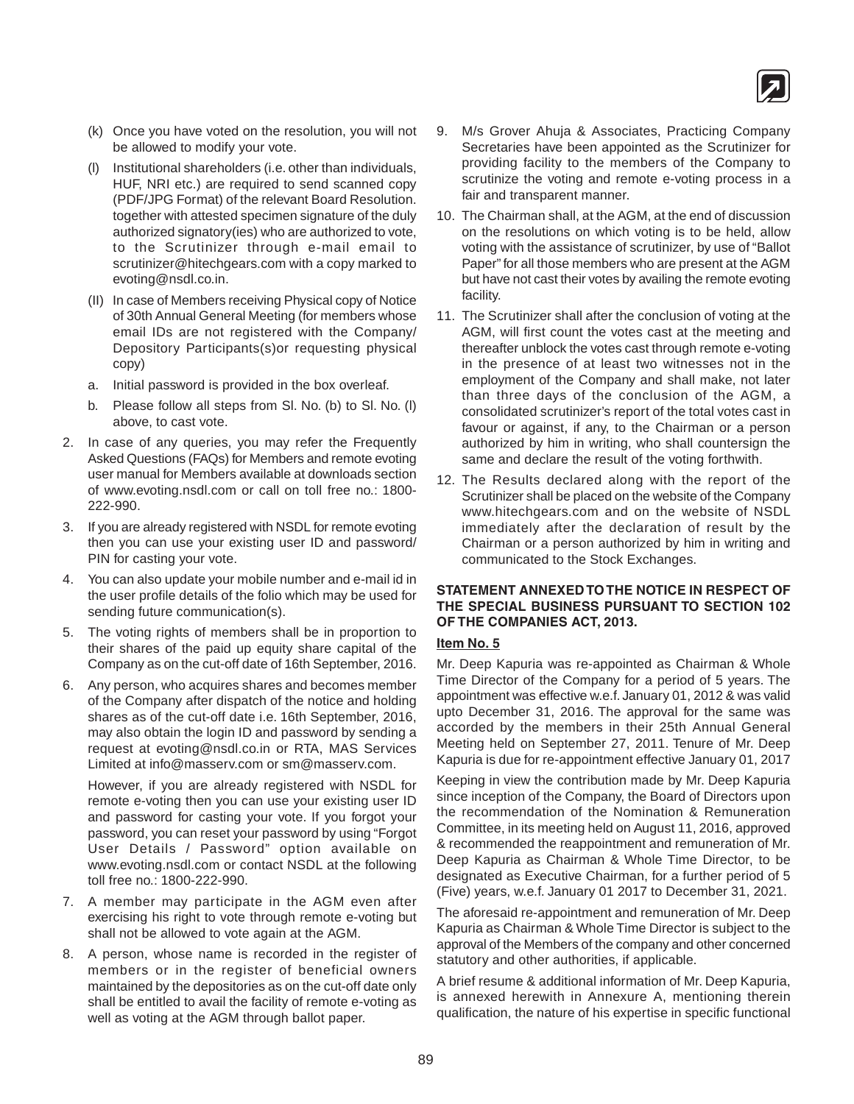

- (k) Once you have voted on the resolution, you will not be allowed to modify your vote.
- (l) Institutional shareholders (i.e. other than individuals, HUF, NRI etc.) are required to send scanned copy (PDF/JPG Format) of the relevant Board Resolution. together with attested specimen signature of the duly authorized signatory(ies) who are authorized to vote, to the Scrutinizer through e-mail email to scrutinizer@hitechgears.com with a copy marked to evoting@nsdl.co.in.
- (II) In case of Members receiving Physical copy of Notice of 30th Annual General Meeting (for members whose email IDs are not registered with the Company/ Depository Participants(s)or requesting physical copy)
- a. Initial password is provided in the box overleaf.
- b. Please follow all steps from Sl. No. (b) to Sl. No. (l) above, to cast vote.
- 2. In case of any queries, you may refer the Frequently Asked Questions (FAQs) for Members and remote evoting user manual for Members available at downloads section of www.evoting.nsdl.com or call on toll free no.: 1800- 222-990.
- 3. If you are already registered with NSDL for remote evoting then you can use your existing user ID and password/ PIN for casting your vote.
- 4. You can also update your mobile number and e-mail id in the user profile details of the folio which may be used for sending future communication(s).
- 5. The voting rights of members shall be in proportion to their shares of the paid up equity share capital of the Company as on the cut-off date of 16th September, 2016.
- 6. Any person, who acquires shares and becomes member of the Company after dispatch of the notice and holding shares as of the cut-off date i.e. 16th September, 2016, may also obtain the login ID and password by sending a request at evoting@nsdl.co.in or RTA, MAS Services Limited at info@masserv.com or sm@masserv.com.

However, if you are already registered with NSDL for remote e-voting then you can use your existing user ID and password for casting your vote. If you forgot your password, you can reset your password by using "Forgot User Details / Password" option available on www.evoting.nsdl.com or contact NSDL at the following toll free no.: 1800-222-990.

- 7. A member may participate in the AGM even after exercising his right to vote through remote e-voting but shall not be allowed to vote again at the AGM.
- 8. A person, whose name is recorded in the register of members or in the register of beneficial owners maintained by the depositories as on the cut-off date only shall be entitled to avail the facility of remote e-voting as well as voting at the AGM through ballot paper.
- 9. M/s Grover Ahuja & Associates, Practicing Company Secretaries have been appointed as the Scrutinizer for providing facility to the members of the Company to scrutinize the voting and remote e-voting process in a fair and transparent manner.
- 10. The Chairman shall, at the AGM, at the end of discussion on the resolutions on which voting is to be held, allow voting with the assistance of scrutinizer, by use of "Ballot Paper" for all those members who are present at the AGM but have not cast their votes by availing the remote evoting facility.
- 11. The Scrutinizer shall after the conclusion of voting at the AGM, will first count the votes cast at the meeting and thereafter unblock the votes cast through remote e-voting in the presence of at least two witnesses not in the employment of the Company and shall make, not later than three days of the conclusion of the AGM, a consolidated scrutinizer's report of the total votes cast in favour or against, if any, to the Chairman or a person authorized by him in writing, who shall countersign the same and declare the result of the voting forthwith.
- 12. The Results declared along with the report of the Scrutinizer shall be placed on the website of the Company www.hitechgears.com and on the website of NSDL immediately after the declaration of result by the Chairman or a person authorized by him in writing and communicated to the Stock Exchanges.

#### **STATEMENT ANNEXED TO THE NOTICE IN RESPECT OF THE SPECIAL BUSINESS PURSUANT TO SECTION 102 OF THE COMPANIES ACT, 2013.**

#### **Item No. 5**

Mr. Deep Kapuria was re-appointed as Chairman & Whole Time Director of the Company for a period of 5 years. The appointment was effective w.e.f. January 01, 2012 & was valid upto December 31, 2016. The approval for the same was accorded by the members in their 25th Annual General Meeting held on September 27, 2011. Tenure of Mr. Deep Kapuria is due for re-appointment effective January 01, 2017

Keeping in view the contribution made by Mr. Deep Kapuria since inception of the Company, the Board of Directors upon the recommendation of the Nomination & Remuneration Committee, in its meeting held on August 11, 2016, approved & recommended the reappointment and remuneration of Mr. Deep Kapuria as Chairman & Whole Time Director, to be designated as Executive Chairman, for a further period of 5 (Five) years, w.e.f. January 01 2017 to December 31, 2021.

The aforesaid re-appointment and remuneration of Mr. Deep Kapuria as Chairman & Whole Time Director is subject to the approval of the Members of the company and other concerned statutory and other authorities, if applicable.

A brief resume & additional information of Mr. Deep Kapuria, is annexed herewith in Annexure A, mentioning therein qualification, the nature of his expertise in specific functional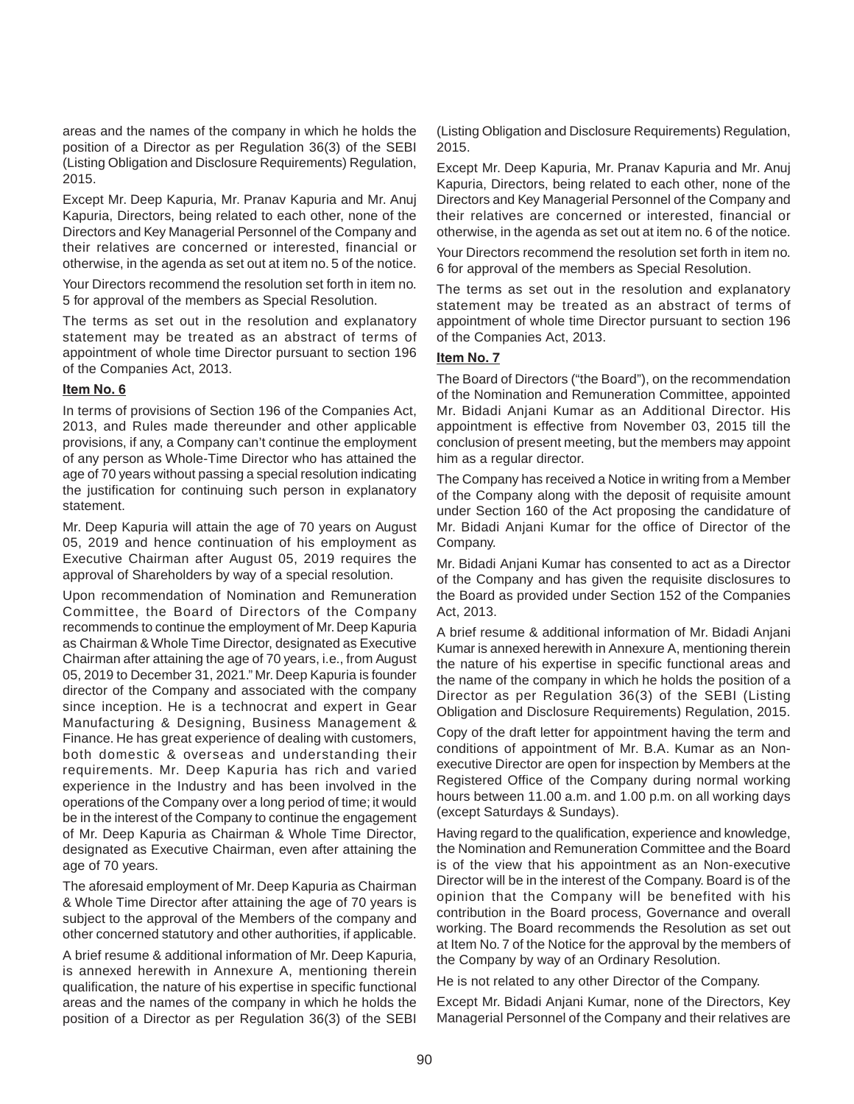areas and the names of the company in which he holds the position of a Director as per Regulation 36(3) of the SEBI (Listing Obligation and Disclosure Requirements) Regulation, 2015.

Except Mr. Deep Kapuria, Mr. Pranav Kapuria and Mr. Anuj Kapuria, Directors, being related to each other, none of the Directors and Key Managerial Personnel of the Company and their relatives are concerned or interested, financial or otherwise, in the agenda as set out at item no. 5 of the notice.

Your Directors recommend the resolution set forth in item no. 5 for approval of the members as Special Resolution.

The terms as set out in the resolution and explanatory statement may be treated as an abstract of terms of appointment of whole time Director pursuant to section 196 of the Companies Act, 2013.

#### **Item No. 6**

In terms of provisions of Section 196 of the Companies Act, 2013, and Rules made thereunder and other applicable provisions, if any, a Company can't continue the employment of any person as Whole-Time Director who has attained the age of 70 years without passing a special resolution indicating the justification for continuing such person in explanatory statement.

Mr. Deep Kapuria will attain the age of 70 years on August 05, 2019 and hence continuation of his employment as Executive Chairman after August 05, 2019 requires the approval of Shareholders by way of a special resolution.

Upon recommendation of Nomination and Remuneration Committee, the Board of Directors of the Company recommends to continue the employment of Mr. Deep Kapuria as Chairman & Whole Time Director, designated as Executive Chairman after attaining the age of 70 years, i.e., from August 05, 2019 to December 31, 2021." Mr. Deep Kapuria is founder director of the Company and associated with the company since inception. He is a technocrat and expert in Gear Manufacturing & Designing, Business Management & Finance. He has great experience of dealing with customers, both domestic & overseas and understanding their requirements. Mr. Deep Kapuria has rich and varied experience in the Industry and has been involved in the operations of the Company over a long period of time; it would be in the interest of the Company to continue the engagement of Mr. Deep Kapuria as Chairman & Whole Time Director, designated as Executive Chairman, even after attaining the age of 70 years.

The aforesaid employment of Mr. Deep Kapuria as Chairman & Whole Time Director after attaining the age of 70 years is subject to the approval of the Members of the company and other concerned statutory and other authorities, if applicable.

A brief resume & additional information of Mr. Deep Kapuria, is annexed herewith in Annexure A, mentioning therein qualification, the nature of his expertise in specific functional areas and the names of the company in which he holds the position of a Director as per Regulation 36(3) of the SEBI (Listing Obligation and Disclosure Requirements) Regulation, 2015.

Except Mr. Deep Kapuria, Mr. Pranav Kapuria and Mr. Anuj Kapuria, Directors, being related to each other, none of the Directors and Key Managerial Personnel of the Company and their relatives are concerned or interested, financial or otherwise, in the agenda as set out at item no. 6 of the notice.

Your Directors recommend the resolution set forth in item no. 6 for approval of the members as Special Resolution.

The terms as set out in the resolution and explanatory statement may be treated as an abstract of terms of appointment of whole time Director pursuant to section 196 of the Companies Act, 2013.

#### **Item No. 7**

The Board of Directors ("the Board"), on the recommendation of the Nomination and Remuneration Committee, appointed Mr. Bidadi Anjani Kumar as an Additional Director. His appointment is effective from November 03, 2015 till the conclusion of present meeting, but the members may appoint him as a regular director.

The Company has received a Notice in writing from a Member of the Company along with the deposit of requisite amount under Section 160 of the Act proposing the candidature of Mr. Bidadi Anjani Kumar for the office of Director of the Company.

Mr. Bidadi Anjani Kumar has consented to act as a Director of the Company and has given the requisite disclosures to the Board as provided under Section 152 of the Companies Act, 2013.

A brief resume & additional information of Mr. Bidadi Anjani Kumar is annexed herewith in Annexure A, mentioning therein the nature of his expertise in specific functional areas and the name of the company in which he holds the position of a Director as per Regulation 36(3) of the SEBI (Listing Obligation and Disclosure Requirements) Regulation, 2015.

Copy of the draft letter for appointment having the term and conditions of appointment of Mr. B.A. Kumar as an Nonexecutive Director are open for inspection by Members at the Registered Office of the Company during normal working hours between 11.00 a.m. and 1.00 p.m. on all working days (except Saturdays & Sundays).

Having regard to the qualification, experience and knowledge, the Nomination and Remuneration Committee and the Board is of the view that his appointment as an Non-executive Director will be in the interest of the Company. Board is of the opinion that the Company will be benefited with his contribution in the Board process, Governance and overall working. The Board recommends the Resolution as set out at Item No. 7 of the Notice for the approval by the members of the Company by way of an Ordinary Resolution.

He is not related to any other Director of the Company.

Except Mr. Bidadi Anjani Kumar, none of the Directors, Key Managerial Personnel of the Company and their relatives are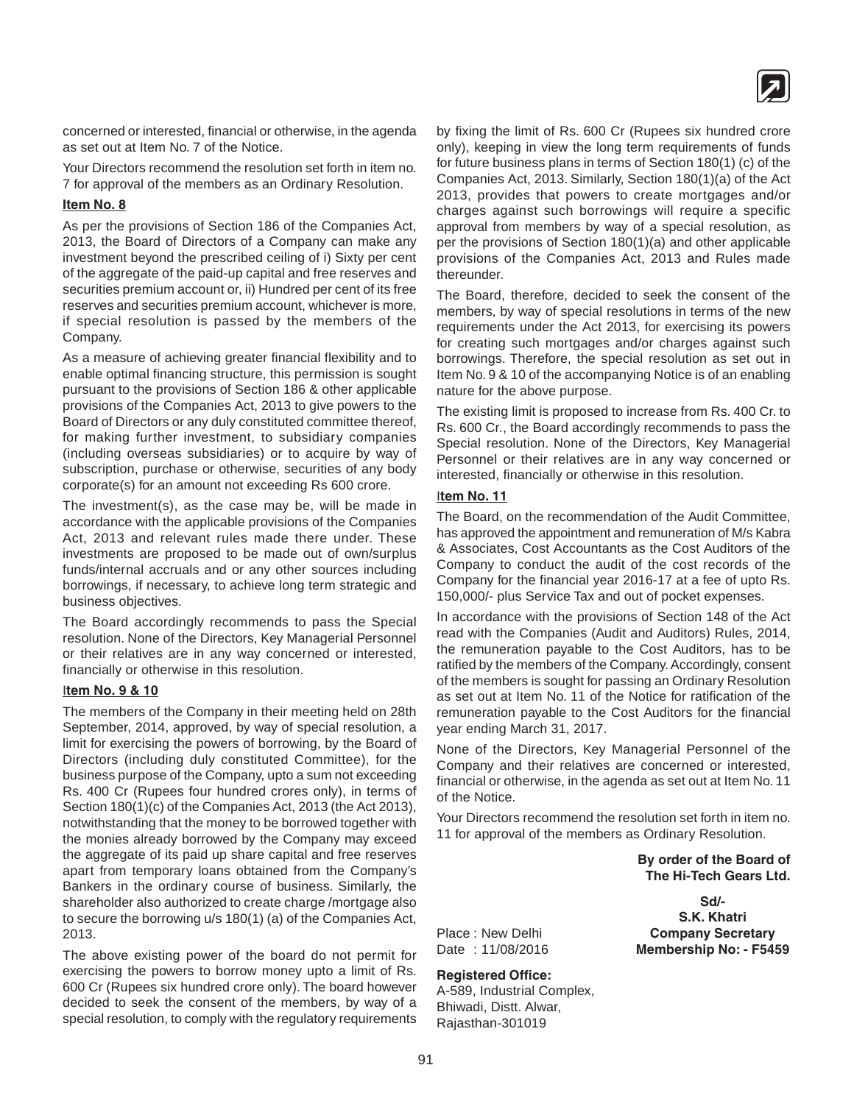

concerned or interested, financial or otherwise, in the agenda as set out at Item No. 7 of the Notice.

Your Directors recommend the resolution set forth in item no. 7 for approval of the members as an Ordinary Resolution.

#### **Item No. 8**

As per the provisions of Section 186 of the Companies Act, 2013, the Board of Directors of a Company can make any investment beyond the prescribed ceiling of i) Sixty per cent of the aggregate of the paid-up capital and free reserves and securities premium account or, ii) Hundred per cent of its free reserves and securities premium account, whichever is more, if special resolution is passed by the members of the Company.

As a measure of achieving greater financial flexibility and to enable optimal financing structure, this permission is sought pursuant to the provisions of Section 186 & other applicable provisions of the Companies Act, 2013 to give powers to the Board of Directors or any duly constituted committee thereof, for making further investment, to subsidiary companies (including overseas subsidiaries) or to acquire by way of subscription, purchase or otherwise, securities of any body corporate(s) for an amount not exceeding Rs 600 crore.

The investment(s), as the case may be, will be made in accordance with the applicable provisions of the Companies Act, 2013 and relevant rules made there under. These investments are proposed to be made out of own/surplus funds/internal accruals and or any other sources including borrowings, if necessary, to achieve long term strategic and business objectives.

The Board accordingly recommends to pass the Special resolution. None of the Directors, Key Managerial Personnel or their relatives are in any way concerned or interested, financially or otherwise in this resolution.

#### I**tem No. 9 & 10**

The members of the Company in their meeting held on 28th September, 2014, approved, by way of special resolution, a limit for exercising the powers of borrowing, by the Board of Directors (including duly constituted Committee), for the business purpose of the Company, upto a sum not exceeding Rs. 400 Cr (Rupees four hundred crores only), in terms of Section 180(1)(c) of the Companies Act, 2013 (the Act 2013), notwithstanding that the money to be borrowed together with the monies already borrowed by the Company may exceed the aggregate of its paid up share capital and free reserves apart from temporary loans obtained from the Company's Bankers in the ordinary course of business. Similarly, the shareholder also authorized to create charge /mortgage also to secure the borrowing u/s 180(1) (a) of the Companies Act, 2013.

The above existing power of the board do not permit for exercising the powers to borrow money upto a limit of Rs. 600 Cr (Rupees six hundred crore only). The board however decided to seek the consent of the members, by way of a special resolution, to comply with the regulatory requirements by fixing the limit of Rs. 600 Cr (Rupees six hundred crore only), keeping in view the long term requirements of funds for future business plans in terms of Section 180(1) (c) of the Companies Act, 2013. Similarly, Section 180(1)(a) of the Act 2013, provides that powers to create mortgages and/or charges against such borrowings will require a specific approval from members by way of a special resolution, as per the provisions of Section 180(1)(a) and other applicable provisions of the Companies Act, 2013 and Rules made thereunder.

The Board, therefore, decided to seek the consent of the members, by way of special resolutions in terms of the new requirements under the Act 2013, for exercising its powers for creating such mortgages and/or charges against such borrowings. Therefore, the special resolution as set out in Item No. 9 & 10 of the accompanying Notice is of an enabling nature for the above purpose.

The existing limit is proposed to increase from Rs. 400 Cr. to Rs. 600 Cr., the Board accordingly recommends to pass the Special resolution. None of the Directors, Key Managerial Personnel or their relatives are in any way concerned or interested, financially or otherwise in this resolution.

#### I**tem No. 11**

The Board, on the recommendation of the Audit Committee, has approved the appointment and remuneration of M/s Kabra & Associates, Cost Accountants as the Cost Auditors of the Company to conduct the audit of the cost records of the Company for the financial year 2016-17 at a fee of upto Rs. 150,000/- plus Service Tax and out of pocket expenses.

In accordance with the provisions of Section 148 of the Act read with the Companies (Audit and Auditors) Rules, 2014, the remuneration payable to the Cost Auditors, has to be ratified by the members of the Company. Accordingly, consent of the members is sought for passing an Ordinary Resolution as set out at Item No. 11 of the Notice for ratification of the remuneration payable to the Cost Auditors for the financial year ending March 31, 2017.

None of the Directors, Key Managerial Personnel of the Company and their relatives are concerned or interested, financial or otherwise, in the agenda as set out at Item No. 11 of the Notice.

Your Directors recommend the resolution set forth in item no. 11 for approval of the members as Ordinary Resolution.

> **By order of the Board of The Hi-Tech Gears Ltd.**

**Sd/- S.K. Khatri** Place : New Delhi **Company Secretary** Date : 11/08/2016 **Membership No: - F5459**

#### **Registered Office:**

A-589, Industrial Complex, Bhiwadi, Distt. Alwar, Rajasthan-301019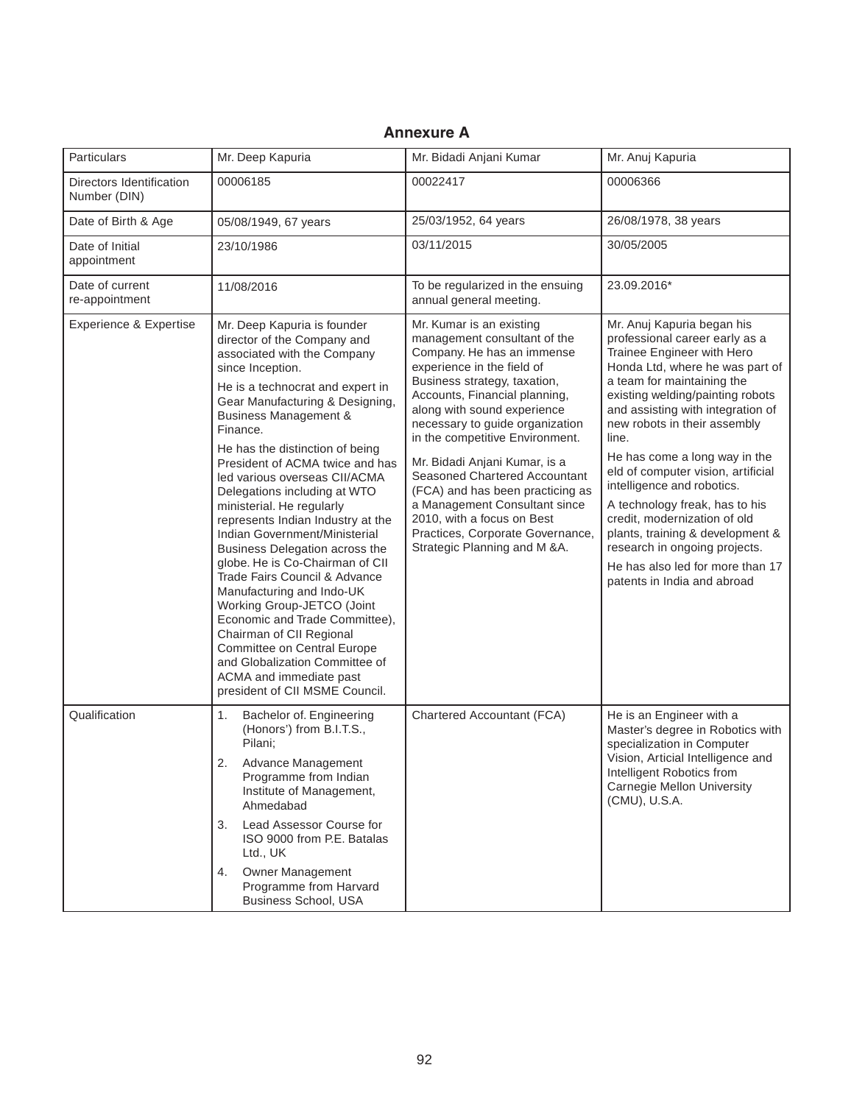#### **Particulars** Directors Identification Number (DIN) Date of Birth & Age Date of Initial appointment Date of current re-appointment Experience & Expertise **Qualification** Mr. Deep Kapuria 00006185 05/08/1949, 67 years 23/10/1986 11/08/2016 Mr. Deep Kapuria is founder director of the Company and associated with the Company since Inception. He is a technocrat and expert in Gear Manufacturing & Designing, Business Management & Finance. He has the distinction of being President of ACMA twice and has led various overseas CII/ACMA Delegations including at WTO ministerial. He regularly represents Indian Industry at the Indian Government/Ministerial Business Delegation across the globe. He is Co-Chairman of CII Trade Fairs Council & Advance Manufacturing and Indo-UK Working Group-JETCO (Joint Economic and Trade Committee), Chairman of CII Regional Committee on Central Europe and Globalization Committee of ACMA and immediate past president of CII MSME Council. 1. Bachelor of. Engineering (Honors') from B.I.T.S., Pilani; 2. Advance Management Programme from Indian Institute of Management, Ahmedabad 3. Lead Assessor Course for ISO 9000 from P.E. Batalas Ltd., UK 4. Owner Management Programme from Harvard Business School, USA Mr. Bidadi Anjani Kumar 00022417 25/03/1952, 64 years 03/11/2015 To be regularized in the ensuing annual general meeting. Mr. Kumar is an existing management consultant of the Company. He has an immense experience in the field of Business strategy, taxation, Accounts, Financial planning, along with sound experience necessary to guide organization in the competitive Environment. Mr. Bidadi Anjani Kumar, is a Seasoned Chartered Accountant (FCA) and has been practicing as a Management Consultant since 2010, with a focus on Best Practices, Corporate Governance, Strategic Planning and M &A. Chartered Accountant (FCA) Mr. Anuj Kapuria 00006366 26/08/1978, 38 years 30/05/2005 23.09.2016\* Mr. Anuj Kapuria began his professional career early as a Trainee Engineer with Hero Honda Ltd, where he was part of a team for maintaining the existing welding/painting robots and assisting with integration of new robots in their assembly line. He has come a long way in the eld of computer vision, artificial intelligence and robotics. A technology freak, has to his credit, modernization of old plants, training & development & research in ongoing projects. He has also led for more than 17 patents in India and abroad He is an Engineer with a Master's degree in Robotics with specialization in Computer Vision, Articial Intelligence and Intelligent Robotics from Carnegie Mellon University (CMU), U.S.A.

#### **Annexure A**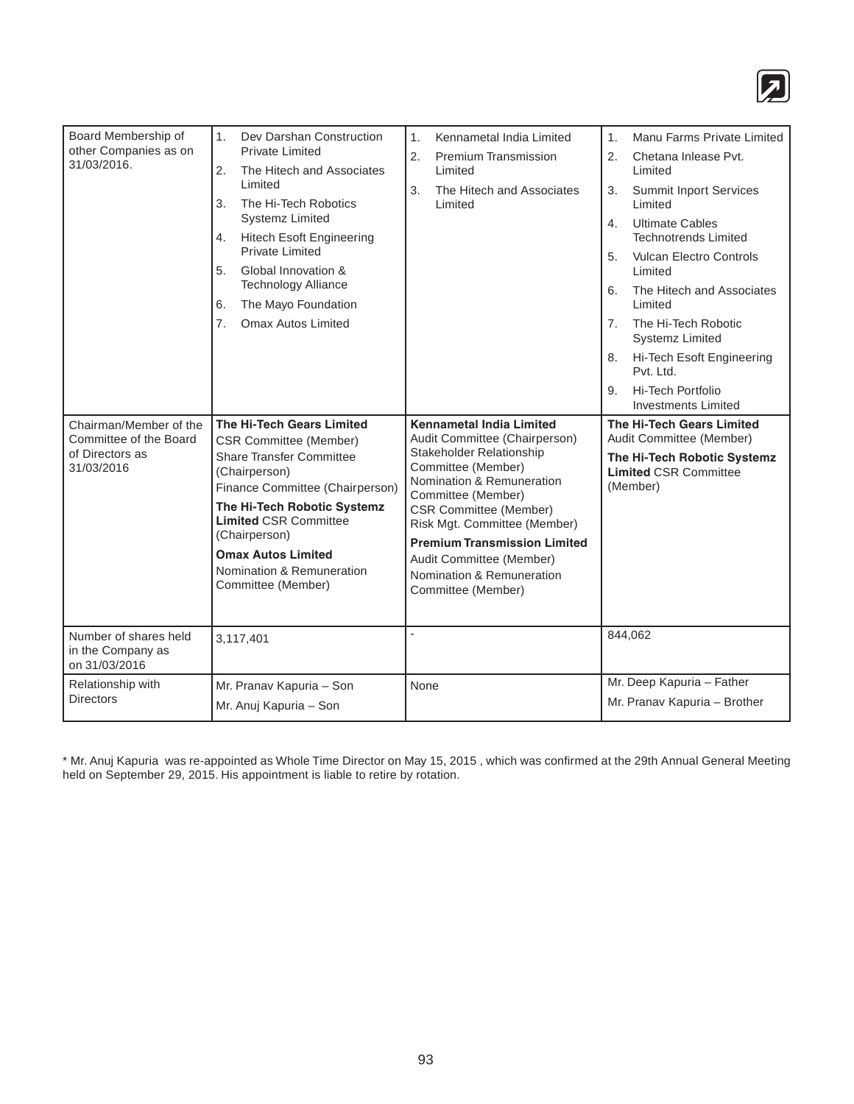

| Board Membership of<br>other Companies as on<br>31/03/2016.<br>Chairman/Member of the<br>Committee of the Board<br>of Directors as<br>31/03/2016 | 1.<br>Dev Darshan Construction<br><b>Private Limited</b><br>2.<br>The Hitech and Associates<br>Limited<br>3.<br>The Hi-Tech Robotics<br><b>Systemz Limited</b><br><b>Hitech Esoft Engineering</b><br>4.<br><b>Private Limited</b><br>5.<br>Global Innovation &<br><b>Technology Alliance</b><br>The Mayo Foundation<br>6.<br>7.<br><b>Omax Autos Limited</b><br>The Hi-Tech Gears Limited<br><b>CSR Committee (Member)</b><br><b>Share Transfer Committee</b><br>(Chairperson)<br>Finance Committee (Chairperson)<br>The Hi-Tech Robotic Systemz<br><b>Limited CSR Committee</b><br>(Chairperson)<br><b>Omax Autos Limited</b><br>Nomination & Remuneration<br>Committee (Member) | Kennametal India Limited<br>1 <sub>1</sub><br><b>Premium Transmission</b><br>2.<br>Limited<br>The Hitech and Associates<br>3.<br>Limited<br><b>Kennametal India Limited</b><br>Audit Committee (Chairperson)<br>Stakeholder Relationship<br>Committee (Member)<br>Nomination & Remuneration<br>Committee (Member)<br><b>CSR Committee (Member)</b><br>Risk Mgt. Committee (Member)<br><b>Premium Transmission Limited</b><br>Audit Committee (Member)<br>Nomination & Remuneration<br>Committee (Member) | Manu Farms Private Limited<br>1.<br>2.<br>Chetana Inlease Pvt.<br>Limited<br>Summit Inport Services<br>3.<br>Limited<br><b>Ultimate Cables</b><br>4.<br><b>Technotrends Limited</b><br><b>Vulcan Electro Controls</b><br>5.<br>Limited<br>The Hitech and Associates<br>6.<br>Limited<br>The Hi-Tech Robotic<br>7 <sub>1</sub><br><b>Systemz Limited</b><br>Hi-Tech Esoft Engineering<br>8.<br>Pvt. Ltd.<br>Hi-Tech Portfolio<br>9.<br><b>Investments Limited</b><br>The Hi-Tech Gears Limited<br>Audit Committee (Member)<br>The Hi-Tech Robotic Systemz<br><b>Limited CSR Committee</b><br>(Member) |
|--------------------------------------------------------------------------------------------------------------------------------------------------|-----------------------------------------------------------------------------------------------------------------------------------------------------------------------------------------------------------------------------------------------------------------------------------------------------------------------------------------------------------------------------------------------------------------------------------------------------------------------------------------------------------------------------------------------------------------------------------------------------------------------------------------------------------------------------------|----------------------------------------------------------------------------------------------------------------------------------------------------------------------------------------------------------------------------------------------------------------------------------------------------------------------------------------------------------------------------------------------------------------------------------------------------------------------------------------------------------|------------------------------------------------------------------------------------------------------------------------------------------------------------------------------------------------------------------------------------------------------------------------------------------------------------------------------------------------------------------------------------------------------------------------------------------------------------------------------------------------------------------------------------------------------------------------------------------------------|
| Number of shares held<br>in the Company as                                                                                                       | 3,117,401                                                                                                                                                                                                                                                                                                                                                                                                                                                                                                                                                                                                                                                                         | $\overline{a}$                                                                                                                                                                                                                                                                                                                                                                                                                                                                                           | 844,062                                                                                                                                                                                                                                                                                                                                                                                                                                                                                                                                                                                              |
| on 31/03/2016<br>Relationship with<br><b>Directors</b>                                                                                           | Mr. Pranav Kapuria - Son<br>Mr. Anuj Kapuria - Son                                                                                                                                                                                                                                                                                                                                                                                                                                                                                                                                                                                                                                | None                                                                                                                                                                                                                                                                                                                                                                                                                                                                                                     | Mr. Deep Kapuria - Father<br>Mr. Pranav Kapuria - Brother                                                                                                                                                                                                                                                                                                                                                                                                                                                                                                                                            |

\* Mr. Anuj Kapuria was re-appointed as Whole Time Director on May 15, 2015 , which was confirmed at the 29th Annual General Meeting held on September 29, 2015. His appointment is liable to retire by rotation.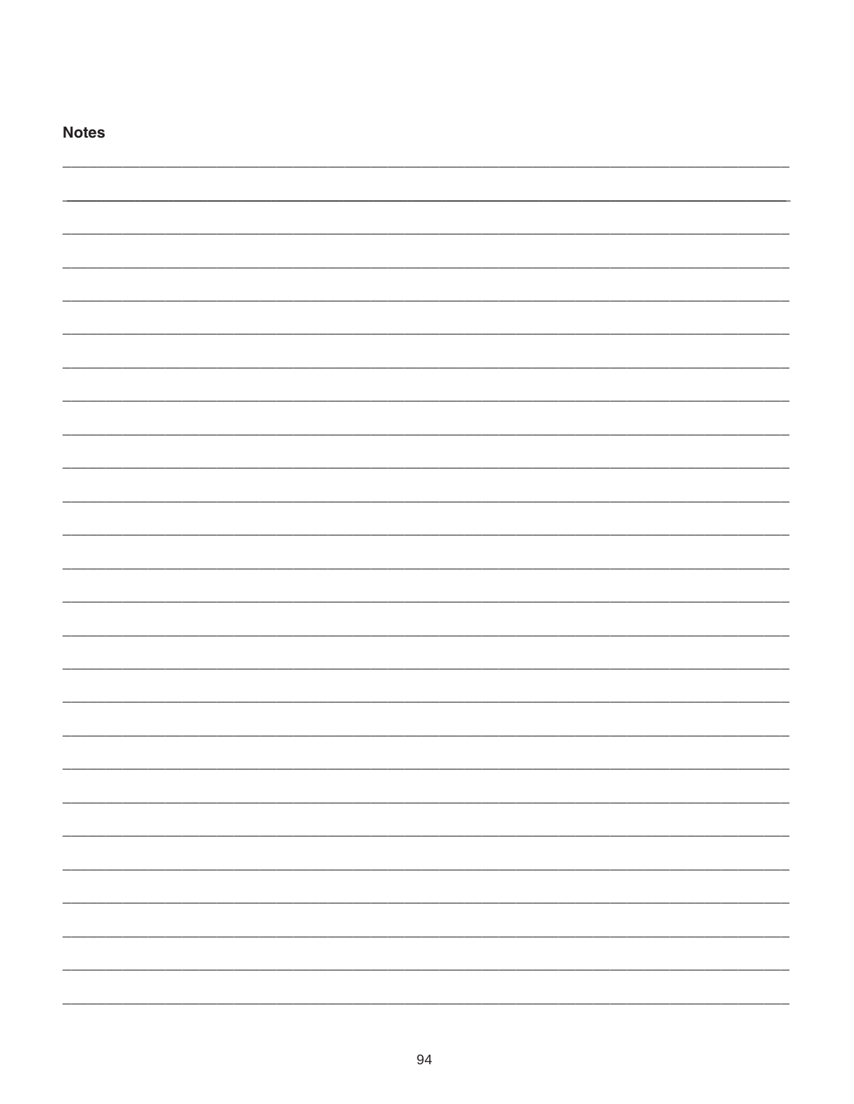| <b>Notes</b> |  |
|--------------|--|
|              |  |
|              |  |
|              |  |
|              |  |
|              |  |
|              |  |
|              |  |
|              |  |
|              |  |
|              |  |
|              |  |
|              |  |
|              |  |
|              |  |
|              |  |
|              |  |
|              |  |
|              |  |
|              |  |
|              |  |
|              |  |
|              |  |
|              |  |
|              |  |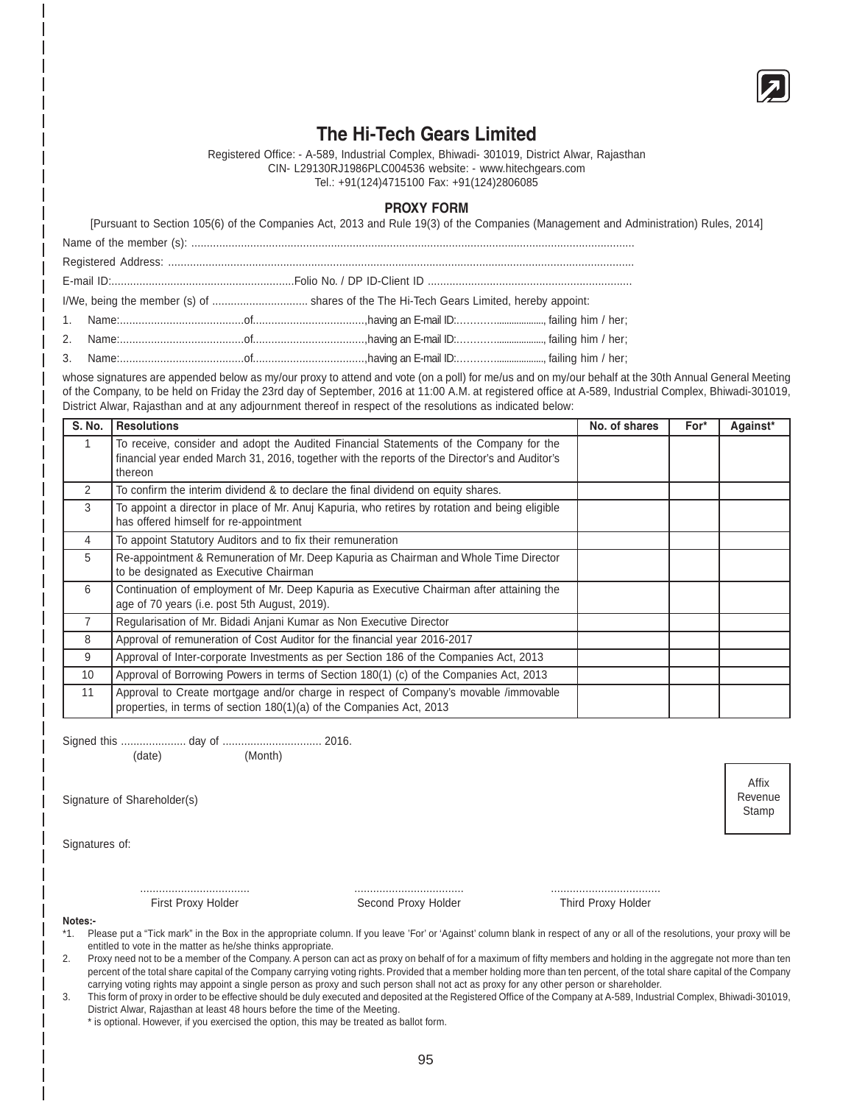

Affix Revenue Stamp

# **The Hi-Tech Gears Limited**

Registered Office: - A-589, Industrial Complex, Bhiwadi- 301019, District Alwar, Rajasthan CIN- L29130RJ1986PLC004536 website: - www.hitechgears.com Tel.: +91(124)4715100 Fax: +91(124)2806085

#### **PROXY FORM**

[Pursuant to Section 105(6) of the Companies Act, 2013 and Rule 19(3) of the Companies (Management and Administration) Rules, 2014] Name of the member (s): ............................................................................................................................................... Registered Address: ...................................................................................................................................................... E-mail ID:...........................................................Folio No. / DP ID-Client ID .................................................................. I/We, being the member (s) of ............................... shares of the The Hi-Tech Gears Limited, hereby appoint: 1. Name:........................................of....................................,having an E-mail ID:…………..................., failing him / her; 2. Name:........................................of....................................,having an E-mail ID:…………..................., failing him / her; 3. Name:........................................of....................................,having an E-mail ID:…………..................., failing him / her;

whose signatures are appended below as my/our proxy to attend and vote (on a poll) for me/us and on my/our behalf at the 30th Annual General Meeting of the Company, to be held on Friday the 23rd day of September, 2016 at 11:00 A.M. at registered office at A-589, Industrial Complex, Bhiwadi-301019, District Alwar, Rajasthan and at any adjournment thereof in respect of the resolutions as indicated below:

| S. No. | <b>Resolutions</b>                                                                                                                                                                                  | No. of shares | For* | Against* |
|--------|-----------------------------------------------------------------------------------------------------------------------------------------------------------------------------------------------------|---------------|------|----------|
|        | To receive, consider and adopt the Audited Financial Statements of the Company for the<br>financial year ended March 31, 2016, together with the reports of the Director's and Auditor's<br>thereon |               |      |          |
| 2      | To confirm the interim dividend & to declare the final dividend on equity shares.                                                                                                                   |               |      |          |
| 3      | To appoint a director in place of Mr. Anuj Kapuria, who retires by rotation and being eligible<br>has offered himself for re-appointment                                                            |               |      |          |
| 4      | To appoint Statutory Auditors and to fix their remuneration                                                                                                                                         |               |      |          |
| 5      | Re-appointment & Remuneration of Mr. Deep Kapuria as Chairman and Whole Time Director<br>to be designated as Executive Chairman                                                                     |               |      |          |
| 6      | Continuation of employment of Mr. Deep Kapuria as Executive Chairman after attaining the<br>age of 70 years (i.e. post 5th August, 2019).                                                           |               |      |          |
|        | Regularisation of Mr. Bidadi Anjani Kumar as Non Executive Director                                                                                                                                 |               |      |          |
| 8      | Approval of remuneration of Cost Auditor for the financial year 2016-2017                                                                                                                           |               |      |          |
| 9      | Approval of Inter-corporate Investments as per Section 186 of the Companies Act, 2013                                                                                                               |               |      |          |
| 10     | Approval of Borrowing Powers in terms of Section 180(1) (c) of the Companies Act, 2013                                                                                                              |               |      |          |
| 11     | Approval to Create mortgage and/or charge in respect of Company's movable /immovable<br>properties, in terms of section 180(1)(a) of the Companies Act, 2013                                        |               |      |          |

Signed this ..................... day of ................................ 2016.

(date) (Month)

Signature of Shareholder(s)

Signatures of:

................................... ................................... ...................................

First Proxy Holder **Second Proxy Holder** Third Proxy Holder Second Proxy Holder Third Proxy Holder

**Notes:-**

- \*1. Please put a "Tick mark" in the Box in the appropriate column. If you leave 'For' or 'Against' column blank in respect of any or all of the resolutions, your proxy will be entitled to vote in the matter as he/she thinks appropriate.
- 2. Proxy need not to be a member of the Company. A person can act as proxy on behalf of for a maximum of fifty members and holding in the aggregate not more than ten percent of the total share capital of the Company carrying voting rights. Provided that a member holding more than ten percent, of the total share capital of the Company carrying voting rights may appoint a single person as proxy and such person shall not act as proxy for any other person or shareholder.
- 3. This form of proxy in order to be effective should be duly executed and deposited at the Registered Office of the Company at A-589, Industrial Complex, Bhiwadi-301019, District Alwar, Rajasthan at least 48 hours before the time of the Meeting.

\* is optional. However, if you exercised the option, this may be treated as ballot form.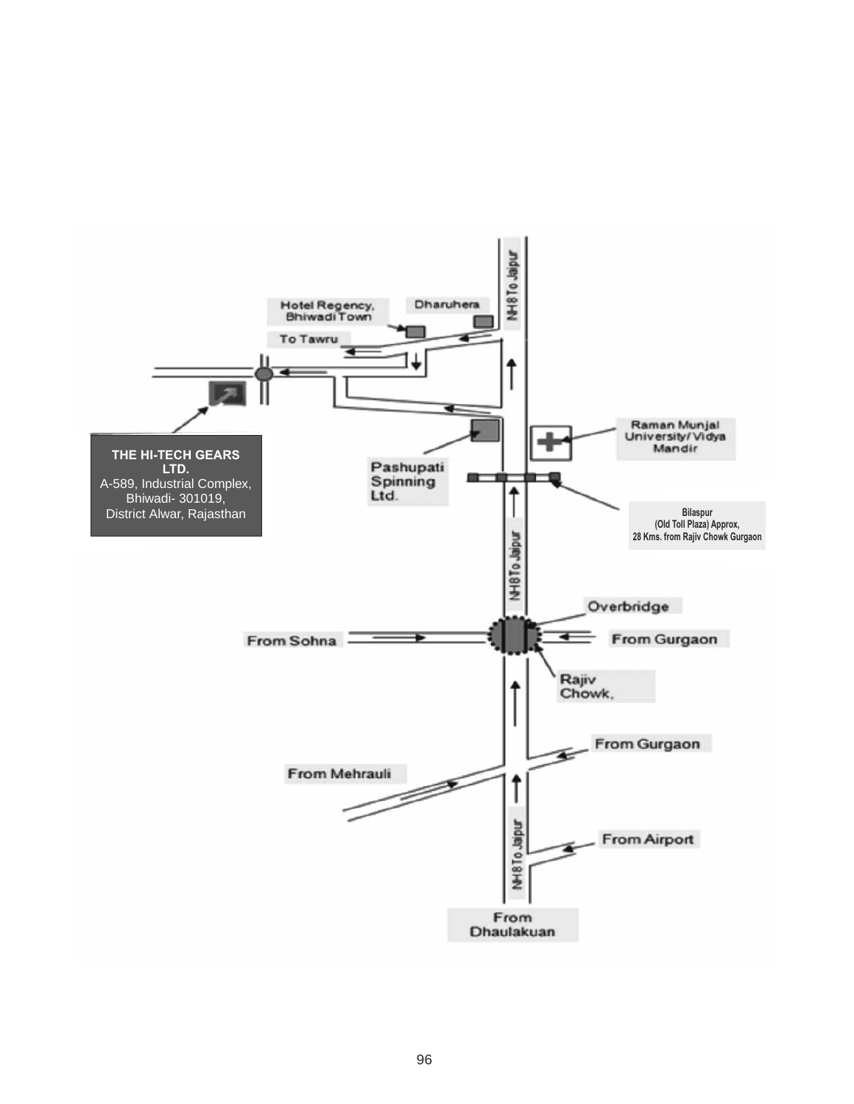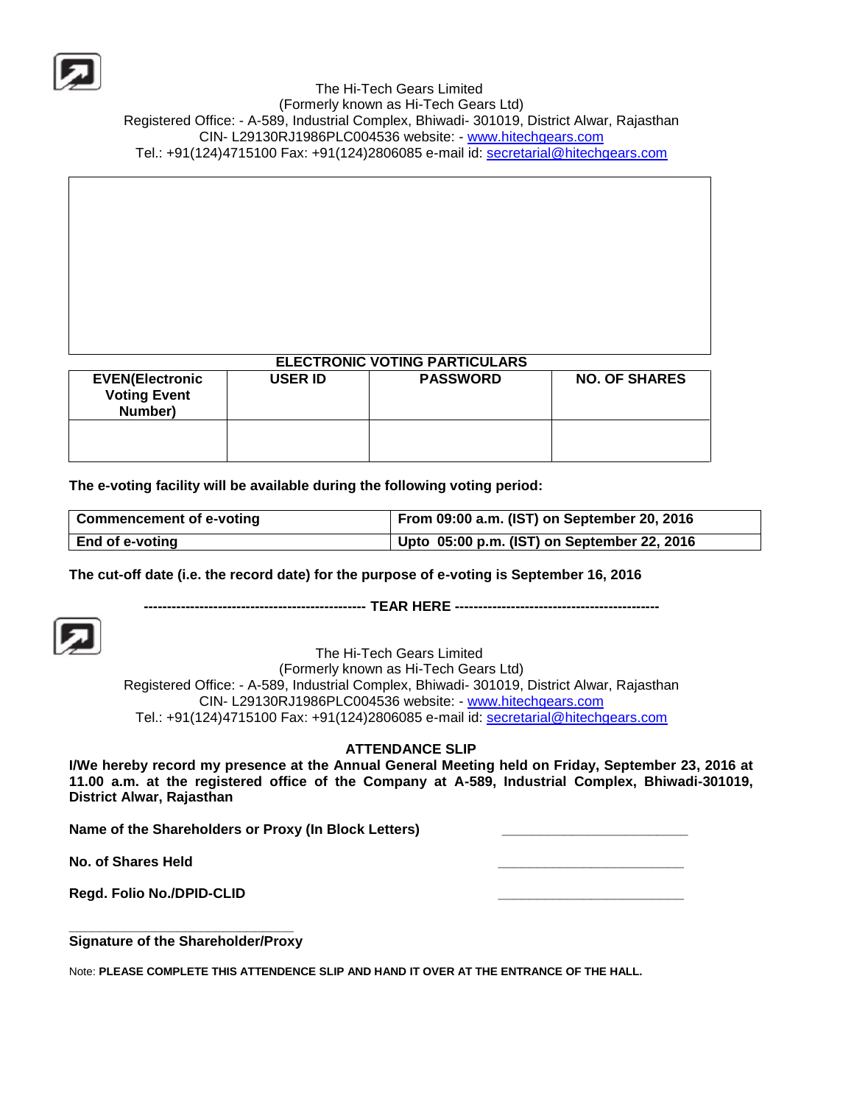

 The Hi-Tech Gears Limited (Formerly known as Hi-Tech Gears Ltd) Registered Office: - A-589, Industrial Complex, Bhiwadi- 301019, District Alwar, Rajasthan CIN- L29130RJ1986PLC004536 website: - [www.hitechgears.com](http://www.hitechgears.com/) Tel.: +91(124)4715100 Fax: +91(124)2806085 e-mail id: [secretarial@hitechgears.com](mailto:secretarial@hitechgears.com)

## **ELECTRONIC VOTING PARTICULARS**

| <b>EVEN(Electronic</b><br><b>Voting Event</b><br>Number) | USER ID | <b>PASSWORD</b> | <b>NO. OF SHARES</b> |
|----------------------------------------------------------|---------|-----------------|----------------------|
|                                                          |         |                 |                      |

### **The e-voting facility will be available during the following voting period:**

| <b>Commencement of e-voting</b> | From 09:00 a.m. (IST) on September 20, 2016 |
|---------------------------------|---------------------------------------------|
| <b>End of e-voting</b>          | Upto 05:00 p.m. (IST) on September 22, 2016 |

### **The cut-off date (i.e. the record date) for the purpose of e-voting is September 16, 2016**

**------------------------------------------------ TEAR HERE --------------------------------------------**



The Hi-Tech Gears Limited

(Formerly known as Hi-Tech Gears Ltd) Registered Office: - A-589, Industrial Complex, Bhiwadi- 301019, District Alwar, Rajasthan CIN- L29130RJ1986PLC004536 website: - [www.hitechgears.com](http://www.hitechgears.com/) Tel.: +91(124)4715100 Fax: +91(124)2806085 e-mail id: [secretarial@hitechgears.com](mailto:secretarial@hitechgears.com)

### **ATTENDANCE SLIP**

**I/We hereby record my presence at the Annual General Meeting held on Friday, September 23, 2016 at 11.00 a.m. at the registered office of the Company at A-589, Industrial Complex, Bhiwadi-301019, District Alwar, Rajasthan**

Name of the Shareholders or Proxy (In Block Letters)

**No. of Shares Held \_\_\_\_\_\_\_\_\_\_\_\_\_\_\_\_\_\_\_\_\_\_\_\_**

**Regd. Folio No./DPID-CLID \_\_\_\_\_\_\_\_\_\_\_\_\_\_\_\_\_\_\_\_\_\_\_\_**

**\_\_\_\_\_\_\_\_\_\_\_\_\_\_\_\_\_\_\_\_\_\_\_\_\_\_\_\_\_ Signature of the Shareholder/Proxy**

Note: **PLEASE COMPLETE THIS ATTENDENCE SLIP AND HAND IT OVER AT THE ENTRANCE OF THE HALL.**